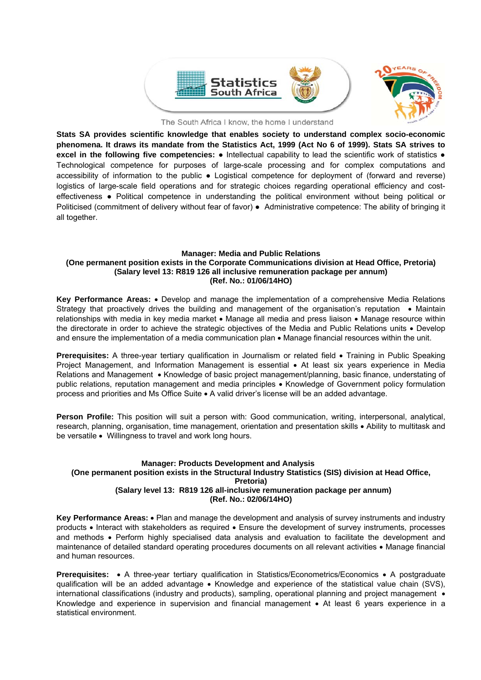

The South Africa I know, the home I understand

**Stats SA provides scientific knowledge that enables society to understand complex socio-economic phenomena. It draws its mandate from the Statistics Act, 1999 (Act No 6 of 1999). Stats SA strives to excel in the following five competencies:** ● Intellectual capability to lead the scientific work of statistics ● Technological competence for purposes of large-scale processing and for complex computations and accessibility of information to the public ● Logistical competence for deployment of (forward and reverse) logistics of large-scale field operations and for strategic choices regarding operational efficiency and costeffectiveness ● Political competence in understanding the political environment without being political or Politicised (commitment of delivery without fear of favor) ● Administrative competence: The ability of bringing it all together.

# **Manager: Media and Public Relations**

### **(One permanent position exists in the Corporate Communications division at Head Office, Pretoria) (Salary level 13: R819 126 all inclusive remuneration package per annum) (Ref. No.: 01/06/14HO)**

**Key Performance Areas:** Develop and manage the implementation of a comprehensive Media Relations Strategy that proactively drives the building and management of the organisation's reputation • Maintain relationships with media in key media market • Manage all media and press liaison • Manage resource within the directorate in order to achieve the strategic objectives of the Media and Public Relations units • Develop and ensure the implementation of a media communication plan  $\bullet$  Manage financial resources within the unit.

**Prerequisites:** A three-year tertiary qualification in Journalism or related field • Training in Public Speaking Project Management, and Information Management is essential • At least six years experience in Media Relations and Management • Knowledge of basic project management/planning, basic finance, understating of public relations, reputation management and media principles • Knowledge of Government policy formulation process and priorities and Ms Office Suite A valid driver's license will be an added advantage.

**Person Profile:** This position will suit a person with: Good communication, writing, interpersonal, analytical, research, planning, organisation, time management, orientation and presentation skills Ability to multitask and be versatile • Willingness to travel and work long hours.

# **Manager: Products Development and Analysis (One permanent position exists in the Structural Industry Statistics (SIS) division at Head Office, Pretoria) (Salary level 13: R819 126 all-inclusive remuneration package per annum) (Ref. No.: 02/06/14HO)**

Key Performance Areas:  $\bullet$  Plan and manage the development and analysis of survey instruments and industry products • Interact with stakeholders as required • Ensure the development of survey instruments, processes and methods • Perform highly specialised data analysis and evaluation to facilitate the development and maintenance of detailed standard operating procedures documents on all relevant activities • Manage financial and human resources.

**Prerequisites:** • A three-year tertiary qualification in Statistics/Econometrics/Economics • A postgraduate qualification will be an added advantage • Knowledge and experience of the statistical value chain (SVS), international classifications (industry and products), sampling, operational planning and project management • Knowledge and experience in supervision and financial management • At least 6 years experience in a statistical environment.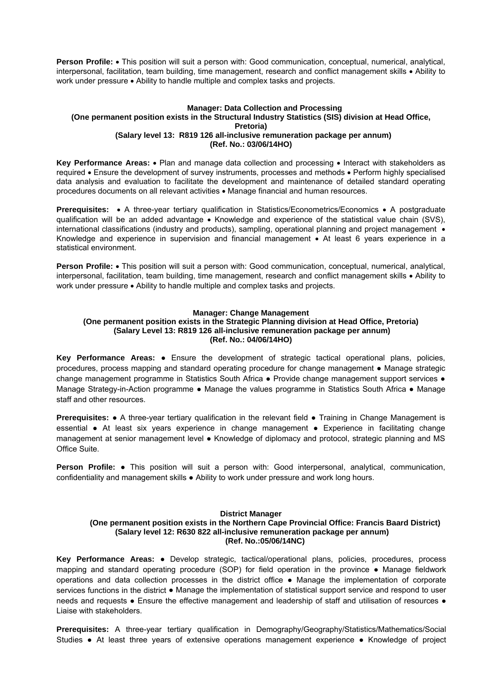Person Profile: • This position will suit a person with: Good communication, conceptual, numerical, analytical, interpersonal, facilitation, team building, time management, research and conflict management skills • Ability to work under pressure • Ability to handle multiple and complex tasks and projects.

# **Manager: Data Collection and Processing (One permanent position exists in the Structural Industry Statistics (SIS) division at Head Office, Pretoria) (Salary level 13: R819 126 all-inclusive remuneration package per annum) (Ref. No.: 03/06/14HO)**

**Key Performance Areas:** • Plan and manage data collection and processing • Interact with stakeholders as required Ensure the development of survey instruments, processes and methods Perform highly specialised data analysis and evaluation to facilitate the development and maintenance of detailed standard operating procedures documents on all relevant activities Manage financial and human resources.

**Prerequisites:** • A three-year tertiary qualification in Statistics/Econometrics/Economics • A postgraduate qualification will be an added advantage • Knowledge and experience of the statistical value chain (SVS), international classifications (industry and products), sampling, operational planning and project management  $\bullet$ Knowledge and experience in supervision and financial management • At least 6 years experience in a statistical environment.

**Person Profile:** • This position will suit a person with: Good communication, conceptual, numerical, analytical, interpersonal, facilitation, team building, time management, research and conflict management skills • Ability to work under pressure  $\bullet$  Ability to handle multiple and complex tasks and projects.

# **Manager: Change Management**

# **(One permanent position exists in the Strategic Planning division at Head Office, Pretoria) (Salary Level 13: R819 126 all-inclusive remuneration package per annum) (Ref. No.: 04/06/14HO)**

**Key Performance Areas:** ● Ensure the development of strategic tactical operational plans, policies, procedures, process mapping and standard operating procedure for change management ● Manage strategic change management programme in Statistics South Africa • Provide change management support services • Manage Strategy-in-Action programme • Manage the values programme in Statistics South Africa • Manage staff and other resources.

**Prerequisites: •** A three-year tertiary qualification in the relevant field • Training in Change Management is essential • At least six years experience in change management • Experience in facilitating change management at senior management level ● Knowledge of diplomacy and protocol, strategic planning and MS Office Suite.

**Person Profile:** ● This position will suit a person with: Good interpersonal, analytical, communication, confidentiality and management skills ● Ability to work under pressure and work long hours.

# **District Manager**

# **(One permanent position exists in the Northern Cape Provincial Office: Francis Baard District) (Salary level 12: R630 822 all-inclusive remuneration package per annum) (Ref. No.:05/06/14NC)**

**Key Performance Areas:** ● Develop strategic, tactical/operational plans, policies, procedures, process mapping and standard operating procedure (SOP) for field operation in the province ● Manage fieldwork operations and data collection processes in the district office ● Manage the implementation of corporate services functions in the district ● Manage the implementation of statistical support service and respond to user needs and requests • Ensure the effective management and leadership of staff and utilisation of resources • Liaise with stakeholders.

**Prerequisites:** A three-year tertiary qualification in Demography/Geography/Statistics/Mathematics/Social Studies ● At least three years of extensive operations management experience ● Knowledge of project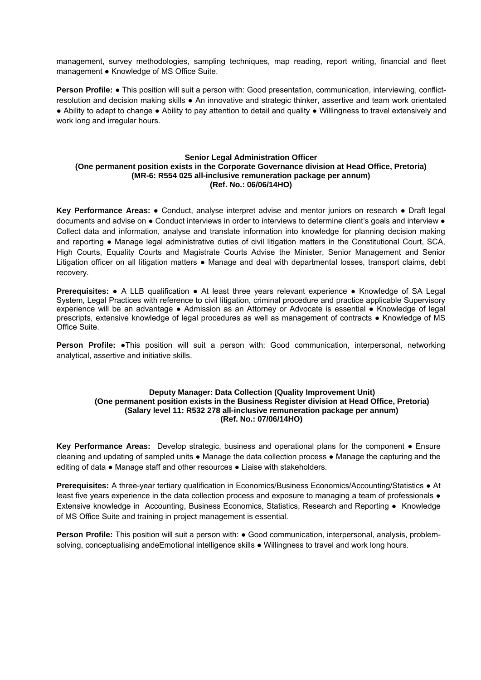management, survey methodologies, sampling techniques, map reading, report writing, financial and fleet management ● Knowledge of MS Office Suite.

**Person Profile: ●** This position will suit a person with: Good presentation, communication, interviewing, conflictresolution and decision making skills ● An innovative and strategic thinker, assertive and team work orientated ● Ability to adapt to change ● Ability to pay attention to detail and quality ● Willingness to travel extensively and work long and irregular hours.

# **Senior Legal Administration Officer (One permanent position exists in the Corporate Governance division at Head Office, Pretoria) (MR-6: R554 025 all-inclusive remuneration package per annum) (Ref. No.: 06/06/14HO)**

**Key Performance Areas:** ● Conduct, analyse interpret advise and mentor juniors on research ● Draft legal documents and advise on ● Conduct interviews in order to interviews to determine client's goals and interview ● Collect data and information, analyse and translate information into knowledge for planning decision making and reporting • Manage legal administrative duties of civil litigation matters in the Constitutional Court, SCA, High Courts, Equality Courts and Magistrate Courts Advise the Minister, Senior Management and Senior Litigation officer on all litigation matters ● Manage and deal with departmental losses, transport claims, debt recovery.

**Prerequisites:** ● A LLB qualification ● At least three years relevant experience ● Knowledge of SA Legal System, Legal Practices with reference to civil litigation, criminal procedure and practice applicable Supervisory experience will be an advantage ● Admission as an Attorney or Advocate is essential ● Knowledge of legal prescripts, extensive knowledge of legal procedures as well as management of contracts ● Knowledge of MS Office Suite.

**Person Profile: •This position will suit a person with: Good communication, interpersonal, networking** analytical, assertive and initiative skills.

# **Deputy Manager: Data Collection (Quality Improvement Unit) (One permanent position exists in the Business Register division at Head Office, Pretoria) (Salary level 11: R532 278 all-inclusive remuneration package per annum) (Ref. No.: 07/06/14HO)**

**Key Performance Areas:** Develop strategic, business and operational plans for the component ● Ensure cleaning and updating of sampled units ● Manage the data collection process ● Manage the capturing and the editing of data • Manage staff and other resources • Liaise with stakeholders.

**Prerequisites:** A three-year tertiary qualification in Economics/Business Economics/Accounting/Statistics ● At least five years experience in the data collection process and exposure to managing a team of professionals  $\bullet$ Extensive knowledge in Accounting, Business Economics, Statistics, Research and Reporting ● Knowledge of MS Office Suite and training in project management is essential.

**Person Profile:** This position will suit a person with: ● Good communication, interpersonal, analysis, problemsolving, conceptualising andeEmotional intelligence skills ● Willingness to travel and work long hours.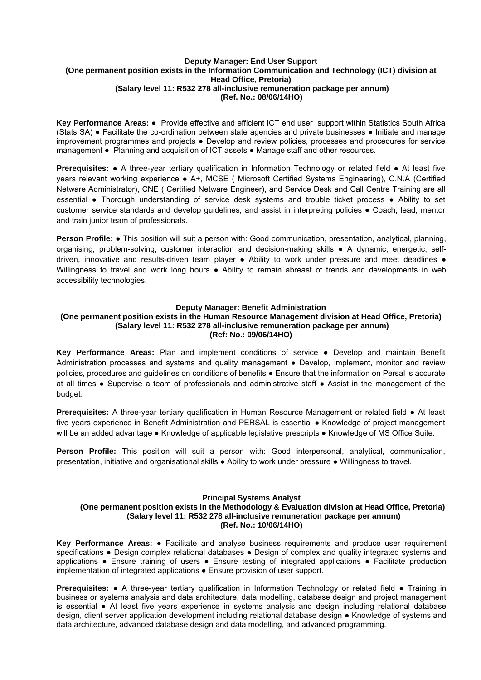## **Deputy Manager: End User Support (One permanent position exists in the Information Communication and Technology (ICT) division at Head Office, Pretoria) (Salary level 11: R532 278 all-inclusive remuneration package per annum) (Ref. No.: 08/06/14HO)**

**Key Performance Areas:** ● Provide effective and efficient ICT end user support within Statistics South Africa (Stats SA) ● Facilitate the co-ordination between state agencies and private businesses ● Initiate and manage improvement programmes and projects ● Develop and review policies, processes and procedures for service management ● Planning and acquisition of ICT assets ● Manage staff and other resources.

**Prerequisites: •** A three-year tertiary qualification in Information Technology or related field • At least five years relevant working experience ● A+, MCSE ( Microsoft Certified Systems Engineering), C.N.A (Certified Netware Administrator), CNE ( Certified Netware Engineer), and Service Desk and Call Centre Training are all essential ● Thorough understanding of service desk systems and trouble ticket process ● Ability to set customer service standards and develop guidelines, and assist in interpreting policies ● Coach, lead, mentor and train junior team of professionals.

**Person Profile:** ● This position will suit a person with: Good communication, presentation, analytical, planning, organising, problem-solving, customer interaction and decision-making skills ● A dynamic, energetic, selfdriven, innovative and results-driven team player ● Ability to work under pressure and meet deadlines ● Willingness to travel and work long hours • Ability to remain abreast of trends and developments in web accessibility technologies.

#### **Deputy Manager: Benefit Administration**

#### **(One permanent position exists in the Human Resource Management division at Head Office, Pretoria) (Salary level 11: R532 278 all-inclusive remuneration package per annum) (Ref: No.: 09/06/14HO)**

**Key Performance Areas:** Plan and implement conditions of service ● Develop and maintain Benefit Administration processes and systems and quality management ● Develop, implement, monitor and review policies, procedures and guidelines on conditions of benefits ● Ensure that the information on Persal is accurate at all times ● Supervise a team of professionals and administrative staff ● Assist in the management of the budget.

**Prerequisites:** A three-year tertiary qualification in Human Resource Management or related field ● At least five years experience in Benefit Administration and PERSAL is essential ● Knowledge of project management will be an added advantage ● Knowledge of applicable legislative prescripts ● Knowledge of MS Office Suite.

**Person Profile:** This position will suit a person with: Good interpersonal, analytical, communication, presentation, initiative and organisational skills ● Ability to work under pressure ● Willingness to travel.

#### **Principal Systems Analyst**

### **(One permanent position exists in the Methodology & Evaluation division at Head Office, Pretoria) (Salary level 11: R532 278 all-inclusive remuneration package per annum) (Ref. No.: 10/06/14HO)**

**Key Performance Areas:** ● Facilitate and analyse business requirements and produce user requirement specifications • Design complex relational databases • Design of complex and quality integrated systems and applications ● Ensure training of users ● Ensure testing of integrated applications ● Facilitate production implementation of integrated applications ● Ensure provision of user support.

**Prerequisites: •** A three-year tertiary qualification in Information Technology or related field • Training in business or systems analysis and data architecture, data modelling, database design and project management is essential ● At least five years experience in systems analysis and design including relational database design, client server application development including relational database design ● Knowledge of systems and data architecture, advanced database design and data modelling, and advanced programming.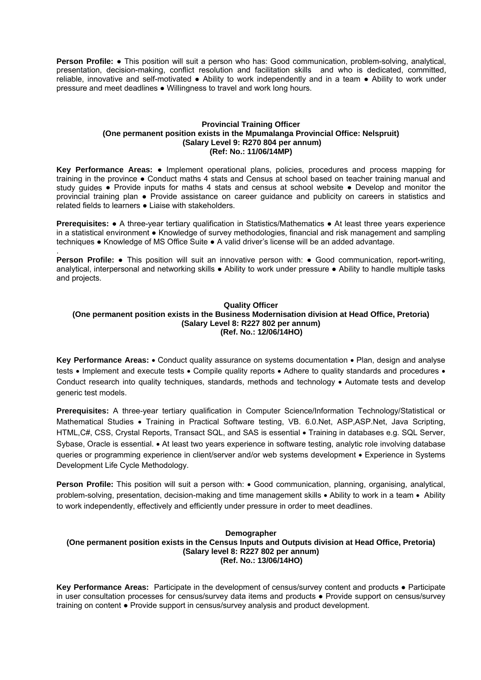**Person Profile:** ● This position will suit a person who has: Good communication, problem-solving, analytical, presentation, decision-making, conflict resolution and facilitation skills and who is dedicated, committed, reliable, innovative and self-motivated ● Ability to work independently and in a team ● Ability to work under pressure and meet deadlines ● Willingness to travel and work long hours.

### **Provincial Training Officer (One permanent position exists in the Mpumalanga Provincial Office: Nelspruit) (Salary Level 9: R270 804 per annum) (Ref: No.: 11/06/14MP)**

**Key Performance Areas:** ● Implement operational plans, policies, procedures and process mapping for training in the province ● Conduct maths 4 stats and Census at school based on teacher training manual and study guides ● Provide inputs for maths 4 stats and census at school website ● Develop and monitor the provincial training plan ● Provide assistance on career guidance and publicity on careers in statistics and related fields to learners ● Liaise with stakeholders.

**Prerequisites: •** A three-year tertiary qualification in Statistics/Mathematics • At least three years experience in a statistical environment ● Knowledge of survey methodologies, financial and risk management and sampling techniques ● Knowledge of MS Office Suite ● A valid driver's license will be an added advantage.

**Person Profile:** • This position will suit an innovative person with: • Good communication, report-writing, analytical, interpersonal and networking skills ● Ability to work under pressure ● Ability to handle multiple tasks and projects.

.

# **Quality Officer (One permanent position exists in the Business Modernisation division at Head Office, Pretoria) (Salary Level 8: R227 802 per annum) (Ref. No.: 12/06/14HO)**

**Key Performance Areas:** • Conduct quality assurance on systems documentation • Plan, design and analyse tests • Implement and execute tests • Compile quality reports • Adhere to quality standards and procedures • Conduct research into quality techniques, standards, methods and technology . Automate tests and develop generic test models.

**Prerequisites:** A three-year tertiary qualification in Computer Science/Information Technology/Statistical or Mathematical Studies • Training in Practical Software testing, VB. 6.0.Net, ASP,ASP.Net, Java Scripting, HTML, C#, CSS, Crystal Reports, Transact SQL, and SAS is essential • Training in databases e.g. SQL Server, Sybase, Oracle is essential. • At least two years experience in software testing, analytic role involving database queries or programming experience in client/server and/or web systems development • Experience in Systems Development Life Cycle Methodology.

**Person Profile:** This position will suit a person with:  $\bullet$  Good communication, planning, organising, analytical, problem-solving, presentation, decision-making and time management skills • Ability to work in a team • Ability to work independently, effectively and efficiently under pressure in order to meet deadlines.

## **Demographer (One permanent position exists in the Census Inputs and Outputs division at Head Office, Pretoria) (Salary level 8: R227 802 per annum) (Ref. No.: 13/06/14HO)**

**Key Performance Areas:** Participate in the development of census/survey content and products ● Participate in user consultation processes for census/survey data items and products ● Provide support on census/survey training on content ● Provide support in census/survey analysis and product development.